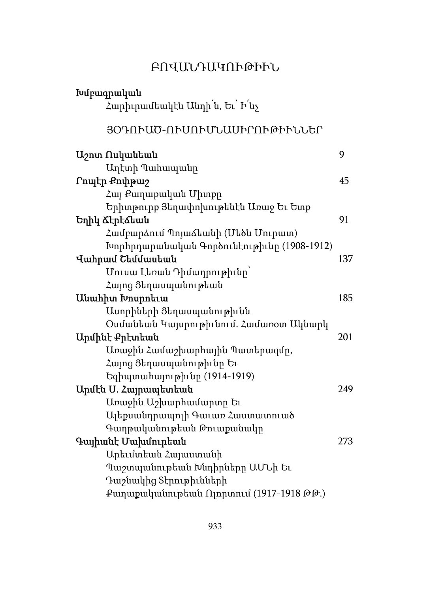# ԲՈՎԱՆԴԱԿՈՒԹԻՒՆ

| Հարիւրամեակէն Անդի՜ն, Եւ` Ի՜նչ<br>ՅՕԴՈՒԱԾ-ՈՒՍՈՒՄՆԱՍԻՐՈՒԹԻՒՆՆԵՐ<br>9<br>Աղէտի Պահապանը<br>Րոպէր Քոփթաշ<br>45<br>Հայ Քաղաքական Միտքը<br>Երիտթուրք Յեղափոխութենէն Առաջ Եւ Ետք<br>91<br>Համբարձում Պոյաձեանի (Մեծն Մուրատ)<br>Խորհրդարանական Գործունէութիւնը (1908-1912)<br>137<br>Մուսա Լեոան Դիմադրութիւնը<br>Հայոց Ցեղասպանութեան<br>185<br>Ասորիների Ցեղասպանութիւնն<br>Օսմանեան Կայսրութիւնում. Համառօտ Ակնարկ<br>201<br>Առաջին Համաշխարհային Պատերազմը,<br>Հայոց Ցեղասպանութիւնը Եւ<br>Եգիպտահայութիւնը (1914-1919)<br>Արմէն Ս. Հայրապետեան<br>249<br>Առաջին Աշխարհամարտը Եւ<br>Ալեքսանդրապոլի Գաւառ Հաստատուած<br>Գաղթականութեան Թուաքանակը<br>Գայիանէ Մախմուրեան<br>273<br>Արեւմտեան Հայաստանի<br>Պաշտպանութեան Խնդիրները ԱՄՆի Եւ | Խմբագրական             |  |
|---------------------------------------------------------------------------------------------------------------------------------------------------------------------------------------------------------------------------------------------------------------------------------------------------------------------------------------------------------------------------------------------------------------------------------------------------------------------------------------------------------------------------------------------------------------------------------------------------------------------------------------------------------------------------------------------------------------------------------------|------------------------|--|
|                                                                                                                                                                                                                                                                                                                                                                                                                                                                                                                                                                                                                                                                                                                                       |                        |  |
|                                                                                                                                                                                                                                                                                                                                                                                                                                                                                                                                                                                                                                                                                                                                       |                        |  |
|                                                                                                                                                                                                                                                                                                                                                                                                                                                                                                                                                                                                                                                                                                                                       |                        |  |
|                                                                                                                                                                                                                                                                                                                                                                                                                                                                                                                                                                                                                                                                                                                                       | Աշոտ Ոսկանեան          |  |
|                                                                                                                                                                                                                                                                                                                                                                                                                                                                                                                                                                                                                                                                                                                                       |                        |  |
|                                                                                                                                                                                                                                                                                                                                                                                                                                                                                                                                                                                                                                                                                                                                       |                        |  |
|                                                                                                                                                                                                                                                                                                                                                                                                                                                                                                                                                                                                                                                                                                                                       |                        |  |
|                                                                                                                                                                                                                                                                                                                                                                                                                                                                                                                                                                                                                                                                                                                                       |                        |  |
|                                                                                                                                                                                                                                                                                                                                                                                                                                                                                                                                                                                                                                                                                                                                       | Եղիկ Ճէրէձեան          |  |
|                                                                                                                                                                                                                                                                                                                                                                                                                                                                                                                                                                                                                                                                                                                                       |                        |  |
|                                                                                                                                                                                                                                                                                                                                                                                                                                                                                                                                                                                                                                                                                                                                       |                        |  |
|                                                                                                                                                                                                                                                                                                                                                                                                                                                                                                                                                                                                                                                                                                                                       | Վահրամ Շեմմասեան       |  |
|                                                                                                                                                                                                                                                                                                                                                                                                                                                                                                                                                                                                                                                                                                                                       |                        |  |
|                                                                                                                                                                                                                                                                                                                                                                                                                                                                                                                                                                                                                                                                                                                                       |                        |  |
|                                                                                                                                                                                                                                                                                                                                                                                                                                                                                                                                                                                                                                                                                                                                       | Անահիտ Խոսրոեւա        |  |
|                                                                                                                                                                                                                                                                                                                                                                                                                                                                                                                                                                                                                                                                                                                                       |                        |  |
|                                                                                                                                                                                                                                                                                                                                                                                                                                                                                                                                                                                                                                                                                                                                       |                        |  |
|                                                                                                                                                                                                                                                                                                                                                                                                                                                                                                                                                                                                                                                                                                                                       | Արմինէ Քրէտեան         |  |
|                                                                                                                                                                                                                                                                                                                                                                                                                                                                                                                                                                                                                                                                                                                                       |                        |  |
|                                                                                                                                                                                                                                                                                                                                                                                                                                                                                                                                                                                                                                                                                                                                       |                        |  |
|                                                                                                                                                                                                                                                                                                                                                                                                                                                                                                                                                                                                                                                                                                                                       |                        |  |
|                                                                                                                                                                                                                                                                                                                                                                                                                                                                                                                                                                                                                                                                                                                                       |                        |  |
|                                                                                                                                                                                                                                                                                                                                                                                                                                                                                                                                                                                                                                                                                                                                       |                        |  |
|                                                                                                                                                                                                                                                                                                                                                                                                                                                                                                                                                                                                                                                                                                                                       |                        |  |
|                                                                                                                                                                                                                                                                                                                                                                                                                                                                                                                                                                                                                                                                                                                                       |                        |  |
|                                                                                                                                                                                                                                                                                                                                                                                                                                                                                                                                                                                                                                                                                                                                       |                        |  |
|                                                                                                                                                                                                                                                                                                                                                                                                                                                                                                                                                                                                                                                                                                                                       |                        |  |
|                                                                                                                                                                                                                                                                                                                                                                                                                                                                                                                                                                                                                                                                                                                                       |                        |  |
|                                                                                                                                                                                                                                                                                                                                                                                                                                                                                                                                                                                                                                                                                                                                       | Դաշնակից Տէրութիւնների |  |
| Քաղաքականութեան Ոլորտում (1917-1918 ԹԹ.)                                                                                                                                                                                                                                                                                                                                                                                                                                                                                                                                                                                                                                                                                              |                        |  |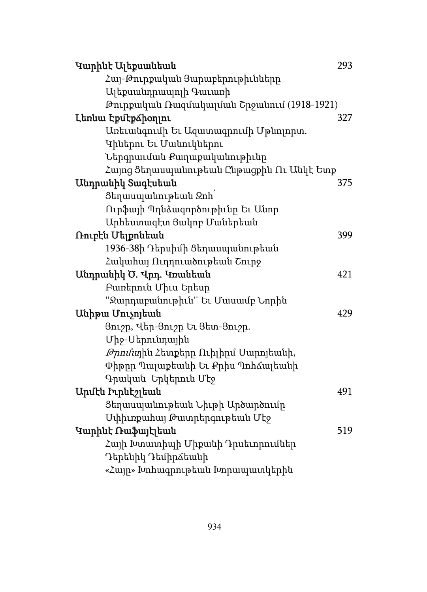| Կարինէ Ալեքսանեան                           | 293 |
|---------------------------------------------|-----|
| Հայ-Թուրքական Յարաբերութիւնները             |     |
| Ալեքսանդրապոլի Գաւառի                       |     |
| Թուրքական Ռազմակալման Շրջանում (1918-1921)  |     |
| Լեոնա Էքմէքձիօղյու                          | 327 |
| Առեւանգումի Եւ Ազատագրումի Մթնոլորտ.        |     |
| Կիներու Եւ Մանուկներու                      |     |
| Ներգրաւման Քաղաքականութիւնը                 |     |
| Հայոց Ցեղասպանութեան Ընթացքին Ու Անկէ Ետք   |     |
| Անդրանիկ Տագէսեան                           | 375 |
| Ցեղասպանութեան Զոհ`                         |     |
| Ուրֆայի Պղնձագործութիւնը Եւ Անոր            |     |
| Արհեստագէտ Յակոբ Մաներեան                   |     |
| Ռուբէն Մելքոնեան                            | 399 |
| 1936-38ի Դերսիմի Ցեղասպանութեան             |     |
| Հակահայ Ուղղուածութեան Շուրջ                |     |
| Անդրանիկ Ծ. Վրդ. Կոանեան                    | 421 |
| Բառերուն Միւս Երեսր                         |     |
| "Ջարդաբանութիւն" Եւ Մասամբ Նորին            |     |
| Uuhpuu Unisnituuu                           | 429 |
| Յուշը, Վեր-Յուշը Եւ Յետ-Յուշը.              |     |
| Միջ-Սերունդային                             |     |
| <i>Թրոմա</i> յին Հետքերը Ուիլիրմ Սարոյեանի, |     |
| Փիթրը Պալաքեանի Եւ Քրիս Պոհձալեանի          |     |
| Գրական Երկերուն Մէջ                         |     |
| Արմէն Իւրնէշլեան                            | 491 |
| Ցեղասպանութեան Նիւթի Արծարծումը             |     |
| Սփիւռքահայ Թատրերգութեան Մէջ                |     |
| Կարինէ Ռաֆայէլեան                           | 519 |
| Հայի Խտատիպի Միքանի Դրսեւորումներ           |     |
| Դերենիկ Դեմիրձեանի                          |     |
| «Հայր» Խոհագրութեան Խորապատկերին            |     |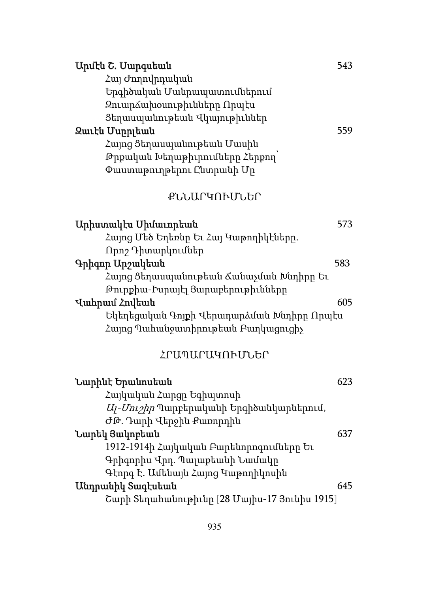| Արմէն Շ. Մարգսեան                             | 543 |
|-----------------------------------------------|-----|
| Հայ Ժողովրդական                               |     |
| Երգիծական Մանրապատումներում                   |     |
| Զուարձախօսութիւնները Որպէս                    |     |
| Ցեղասպանութեան Վկայութիւններ                  |     |
| Զաւէն Մսրրլեան                                | 559 |
| Հայոց Ցեղասպանութեան Մասին                    |     |
| Թրքական Խեղաթիւրումները Հերքող՝               |     |
| Փաստաթուղթերու Ընտրանի Մր                     |     |
| ՔՆՆԱՐԿՈՒՄՆԵՐ                                  |     |
| Արիստակէս Միմաւորեան                          | 573 |
| Հայոց Մեծ Եղեռնը Եւ Հայ Կաթողիկէները.         |     |
| Որոշ Դիտարկումներ                             |     |
| Գրիգոր Արշակեան                               | 583 |
| Հայոց Ցեղասպանութեան Ճանաչման Խնդիրը Եւ       |     |
| Թուրքիա-Իսրայէլ Յարաբերութիւնները             |     |
| Վահրամ Հովեան                                 | 605 |
| Եկեղեցական Գոյքի Վերադարձման Խնդիրը Որպէս     |     |
| Հայոց Պահանջատիրութեան Բաղկացուցիչ            |     |
| ՀՐԱՊԱՐԱԿՈՒՄՆԵՐ                                |     |
| Նարինէ Երանոսեան                              | 623 |
| Հայկական Հարցը Եգիպտոսի                       |     |
| Uj-Uni2hn Պարբերականի Երգիծանկարներում,       |     |
| ԺԹ. Դարի Վերջին Քառորդին                      |     |
| Նարեկ Յակոբեան                                | 637 |
| 1912-1914ի Հայկական Բարենորոգումները Եւ       |     |
| Գրիգորիս Վրդ. Պալաքեանի Նամակր                |     |
| Գէորգ Է. Ամենայն Հայոց Կաթողիկոսին            |     |
| Անդրանիկ Տագէսեան                             | 645 |
| Շարի Տեղահանութիւնը [28 Մայիս-17 Յունիս 1915] |     |
|                                               |     |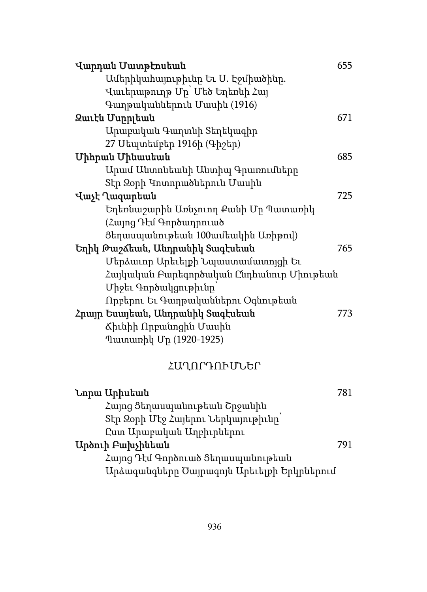| Վարդան Մատթէոսեան                          | 655 |
|--------------------------------------------|-----|
| Ամերիկահայութիւնը Եւ Ս. Էջմիածինը.         |     |
| Վաւերաթուղթ Մը` Մեծ Եղեռնի Հայ             |     |
| Գաղթականներուն Մասին (1916)                |     |
| Զաւէն Մսրրլեան                             | 671 |
| Արաբական Գաղտնի Տեղեկագիր                  |     |
| 27 Սեպտեմբեր 1916ի (Գիշեր)                 |     |
| <b>Uhhpwu</b> Uhuwutwu                     | 685 |
| Արամ Անտոնեանի Անտիպ Գրառումները           |     |
| Տէր Զօրի Կոտորածներուն Մասին               |     |
| Վաչէ Ղազարեան                              | 725 |
| Եղեռնաշարին Առնչուող Քանի Մր Պատառիկ       |     |
| (Հայոց Դէմ Գործադրուած                     |     |
| Ցեղասպանութեան 100ամեակին Առիթով)          |     |
| Եղիկ Թաշձեան, Անդրանիկ Տագէսեան            | 765 |
| Մերձաւոր Արեւելքի Նպաստամատոյցի Եւ         |     |
| Հայկական Բարեգործական Ընդհանուր Միութեան   |     |
| Միջեւ Գործակցութիւնը                       |     |
| Որբերու Եւ Գաղթականներու Օգնութեան         |     |
| Հրայր Եսայեան, Անդրանիկ Տագէսեան           | 773 |
| Ճիւնիի Որբանոցին Մասին                     |     |
| Պատառիկ Մը (1920-1925)                     |     |
| ՀԱՂՈՐԴՈՒՄՆԵՐ                               |     |
| Նորա Արիսեան                               | 781 |
| Հայոց Ցեղասպանութեան Շրջանին               |     |
| Տէր Զօրի Մէջ Հայերու Ներկայութիւնը         |     |
| Ըստ Արաբական Աղբիւրներու                   |     |
| Արծուի Բախչինեան                           | 791 |
| Հայոց Դէմ Գործուած Ցեղասպանութեան          |     |
| Արձագանգները Ծայրագոյն Արեւելքի Երկրներում |     |
|                                            |     |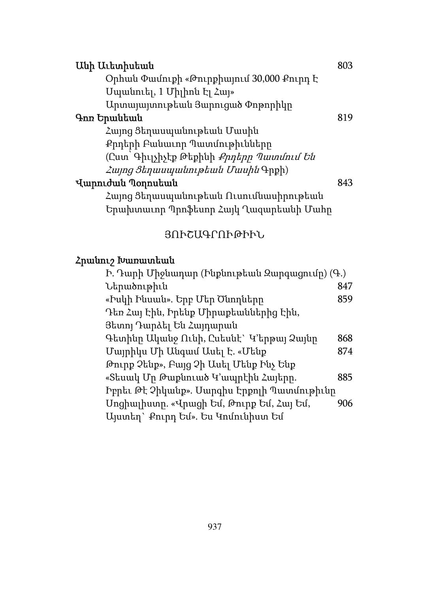| Անի Աւետիսեան                                   | 803 |
|-------------------------------------------------|-----|
| Ophան Փամուքի «Թուրքիայում 30,000 Քուրդ Է       |     |
| Մպանուել, 1 Միլիոն էլ Հայ»                      |     |
| Արտալայտութեան Յարուցած Փոթորիկը                |     |
| Գոռ Երանեան                                     | 819 |
| Հայոց Ցեղասպանութեան Մասին                      |     |
| Քրդերի Բանաւոր Պատմութիւնները                   |     |
| (Ըստ՝ Գիւլչիչէք Թեքինի <i>Քրդերը Պատմում Են</i> |     |
| <i>Հայոց Ցեղասպանութեան Մասին</i> Գրքի)         |     |
| Վարուժան Պօղոսեան                               | 843 |
| Հայոց Ցեղասպանութեան Ուսումնասիրութեան          |     |
| Երախտաւոր Պրոֆեսոր Հայկ Ղազարեանի Մահր          |     |

## ՅՈՒՇԱԳՐՈՒԹԻՒՆ

# Հրանուշ Խառատեան

| Ի. Դարի Միջնադար (Ինքնութեան Զարգացումը) (Գ.) |     |
|-----------------------------------------------|-----|
| Ներածութիւն                                   | 847 |
| «Իսկի Ինսան». Երբ Մեր Ծնողները                | 859 |
| Դեռ Հայ Էին, Իրենք Միրաքեաններից Էին,         |     |
| Յետոյ Դարձել Են Հայդարան                      |     |
| Գետինը Ականջ Ունի, Ըսեսնէ` Կ'երթայ Ձայնը      | 868 |
| Մայրիկս Մի Անգամ Ասել Է. «Մենք                | 874 |
| Թուրք Չենք», Բայց Չի Ասել Մենք Ինչ Ենք        |     |
| «Տեսակ Մը Թաքնուած Կ՚ապրէին Հայերը.           | 885 |
| Իբրեւ Թէ Չիկանք». Սարգիս Էրքոլի Պատմութիւնը   |     |
| Unghալիստը. «Վրացի Եմ, Թուրք Եմ, Հայ Եմ,      | 906 |
| Այստեղ` Քուրդ Եմ». Ես Կոմունիստ Եմ            |     |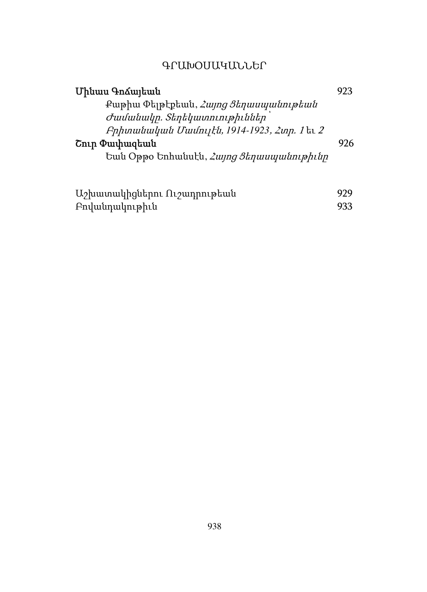## ԳՐԱԽՕՍԱԿԱՆՆԵՐ

| Մինաս ԳոՃայեան                                  | 923 |
|-------------------------------------------------|-----|
| Քաթիա Փելթէքեան, <i>Հայոց Ցեղասպանութեան</i>    |     |
| Ժամանակը. Տեղեկատուութիւններ                    |     |
| Բրիտանական Մամույէն, 1914-1923, Հտր. 1 եւ 2     |     |
| Շուր Փափազեան                                   | 976 |
| Եան Օթթօ Եռհանսէն, <i>Հայոց Ցեղասպանութիւնը</i> |     |
|                                                 |     |
|                                                 |     |

| Աշխատակիցներու Ուշադրութեան | 929 |
|-----------------------------|-----|
| Բովանդակութիւն              | 933 |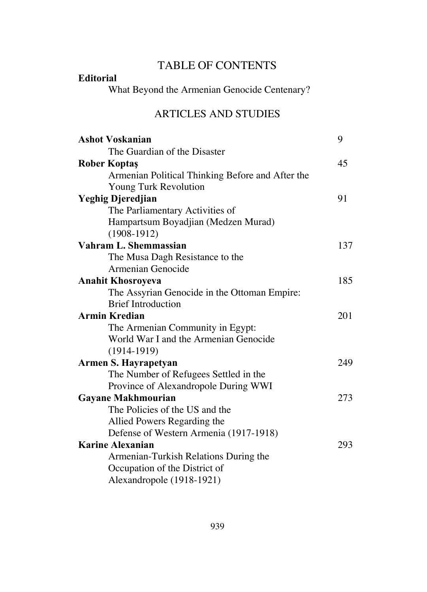# TABLE OF CONTENTS

#### **Editorial**

What Beyond the Armenian Genocide Centenary?

#### ARTICLES AND STUDIES

| <b>Ashot Voskanian</b>                           | 9   |
|--------------------------------------------------|-----|
| The Guardian of the Disaster                     |     |
| <b>Rober Koptaş</b>                              | 45  |
| Armenian Political Thinking Before and After the |     |
| Young Turk Revolution                            |     |
| <b>Yeghig Djeredjian</b>                         | 91  |
| The Parliamentary Activities of                  |     |
| Hampartsum Boyadjian (Medzen Murad)              |     |
| $(1908-1912)$                                    |     |
| Vahram L. Shemmassian                            | 137 |
| The Musa Dagh Resistance to the                  |     |
| Armenian Genocide                                |     |
| <b>Anahit Khosroyeva</b>                         | 185 |
| The Assyrian Genocide in the Ottoman Empire:     |     |
| <b>Brief Introduction</b>                        |     |
| <b>Armin Kredian</b>                             | 201 |
| The Armenian Community in Egypt:                 |     |
| World War I and the Armenian Genocide            |     |
| $(1914-1919)$                                    |     |
| Armen S. Hayrapetyan                             | 249 |
| The Number of Refugees Settled in the            |     |
| Province of Alexandropole During WWI             |     |
| <b>Gayane Makhmourian</b>                        | 273 |
| The Policies of the US and the                   |     |
| Allied Powers Regarding the                      |     |
| Defense of Western Armenia (1917-1918)           |     |
| <b>Karine Alexanian</b>                          | 293 |
| Armenian-Turkish Relations During the            |     |
| Occupation of the District of                    |     |
| Alexandropole (1918-1921)                        |     |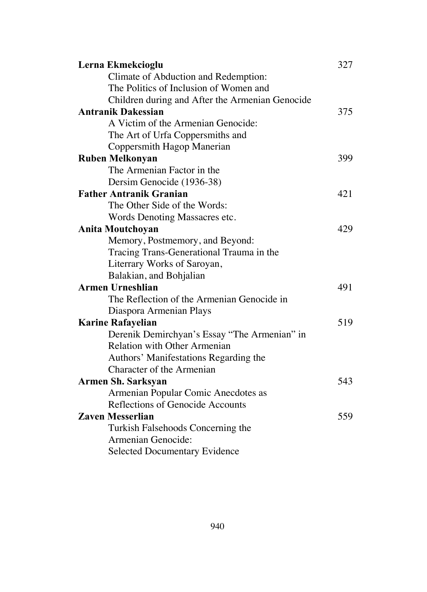| Lerna Ekmekcioglu                               | 327 |
|-------------------------------------------------|-----|
| Climate of Abduction and Redemption:            |     |
| The Politics of Inclusion of Women and          |     |
| Children during and After the Armenian Genocide |     |
| <b>Antranik Dakessian</b>                       | 375 |
| A Victim of the Armenian Genocide:              |     |
| The Art of Urfa Coppersmiths and                |     |
| Coppersmith Hagop Manerian                      |     |
| <b>Ruben Melkonyan</b>                          | 399 |
| The Armenian Factor in the                      |     |
| Dersim Genocide (1936-38)                       |     |
| <b>Father Antranik Granian</b>                  | 421 |
| The Other Side of the Words:                    |     |
| Words Denoting Massacres etc.                   |     |
| <b>Anita Moutchoyan</b>                         | 429 |
| Memory, Postmemory, and Beyond:                 |     |
| Tracing Trans-Generational Trauma in the        |     |
| Literrary Works of Saroyan,                     |     |
| Balakian, and Bohjalian                         |     |
| <b>Armen Urneshlian</b>                         | 491 |
| The Reflection of the Armenian Genocide in      |     |
| Diaspora Armenian Plays                         |     |
| <b>Karine Rafayelian</b>                        | 519 |
| Derenik Demirchyan's Essay "The Armenian" in    |     |
| <b>Relation with Other Armenian</b>             |     |
| Authors' Manifestations Regarding the           |     |
| Character of the Armenian                       |     |
| <b>Armen Sh. Sarksyan</b>                       | 543 |
| Armenian Popular Comic Anecdotes as             |     |
| Reflections of Genocide Accounts                |     |
| <b>Zaven Messerlian</b>                         | 559 |
| Turkish Falsehoods Concerning the               |     |
| Armenian Genocide:                              |     |
| <b>Selected Documentary Evidence</b>            |     |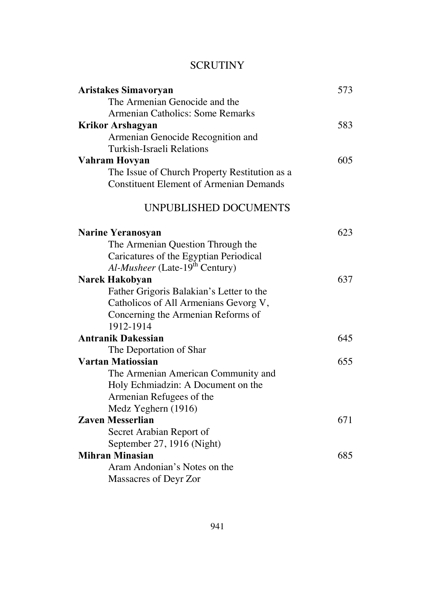#### **SCRUTINY**

| <b>Aristakes Simavoryan</b>                    | 573 |
|------------------------------------------------|-----|
| The Armenian Genocide and the                  |     |
| Armenian Catholics: Some Remarks               |     |
| <b>Krikor Arshagyan</b>                        | 583 |
| Armenian Genocide Recognition and              |     |
| Turkish-Israeli Relations                      |     |
| Vahram Hovyan                                  | 605 |
| The Issue of Church Property Restitution as a  |     |
| <b>Constituent Element of Armenian Demands</b> |     |
| UNPUBLISHED DOCUMENTS                          |     |
| <b>Narine Yeranosyan</b>                       | 623 |
| The Armenian Question Through the              |     |
| Caricatures of the Egyptian Periodical         |     |
| Al-Musheer (Late-19 <sup>th</sup> Century)     |     |
| Narek Hakobyan                                 | 637 |
| Father Grigoris Balakian's Letter to the       |     |
| Catholicos of All Armenians Gevorg V,          |     |
| Concerning the Armenian Reforms of             |     |
| 1912-1914                                      |     |
| <b>Antranik Dakessian</b>                      | 645 |
| The Deportation of Shar                        |     |
| Vartan Matiossian                              | 655 |
| The Armenian American Community and            |     |
| Holy Echmiadzin: A Document on the             |     |
| Armenian Refugees of the                       |     |
| Medz Yeghern (1916)                            |     |
| <b>Zaven Messerlian</b>                        | 671 |
| Secret Arabian Report of                       |     |
| September 27, 1916 (Night)                     |     |
| <b>Mihran Minasian</b>                         | 685 |
| Aram Andonian's Notes on the                   |     |
| Massacres of Deyr Zor                          |     |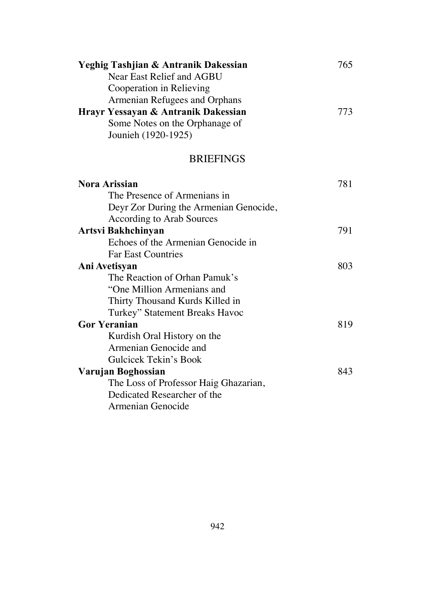| Yeghig Tashjian & Antranik Dakessian | 765 |
|--------------------------------------|-----|
| Near East Relief and AGBU            |     |
| Cooperation in Relieving             |     |
| Armenian Refugees and Orphans        |     |
| Hrayr Yessayan & Antranik Dakessian  | 773 |
| Some Notes on the Orphanage of       |     |
| Jounieh (1920-1925)                  |     |
|                                      |     |

#### BRIEFINGS

| <b>Nora Arissian</b>                   | 781 |
|----------------------------------------|-----|
| The Presence of Armenians in           |     |
| Deyr Zor During the Armenian Genocide, |     |
| According to Arab Sources              |     |
| Artsvi Bakhchinyan                     | 791 |
| Echoes of the Armenian Genocide in     |     |
| <b>Far East Countries</b>              |     |
| Ani Avetisyan                          | 803 |
| The Reaction of Orhan Pamuk's          |     |
| "One Million Armenians and             |     |
| Thirty Thousand Kurds Killed in        |     |
| Turkey" Statement Breaks Havoc         |     |
| <b>Gor Yeranian</b>                    | 819 |
| Kurdish Oral History on the            |     |
| Armenian Genocide and                  |     |
| Gulcicek Tekin's Book                  |     |
| Varujan Boghossian                     | 843 |
| The Loss of Professor Haig Ghazarian,  |     |
| Dedicated Researcher of the            |     |
| Armenian Genocide                      |     |